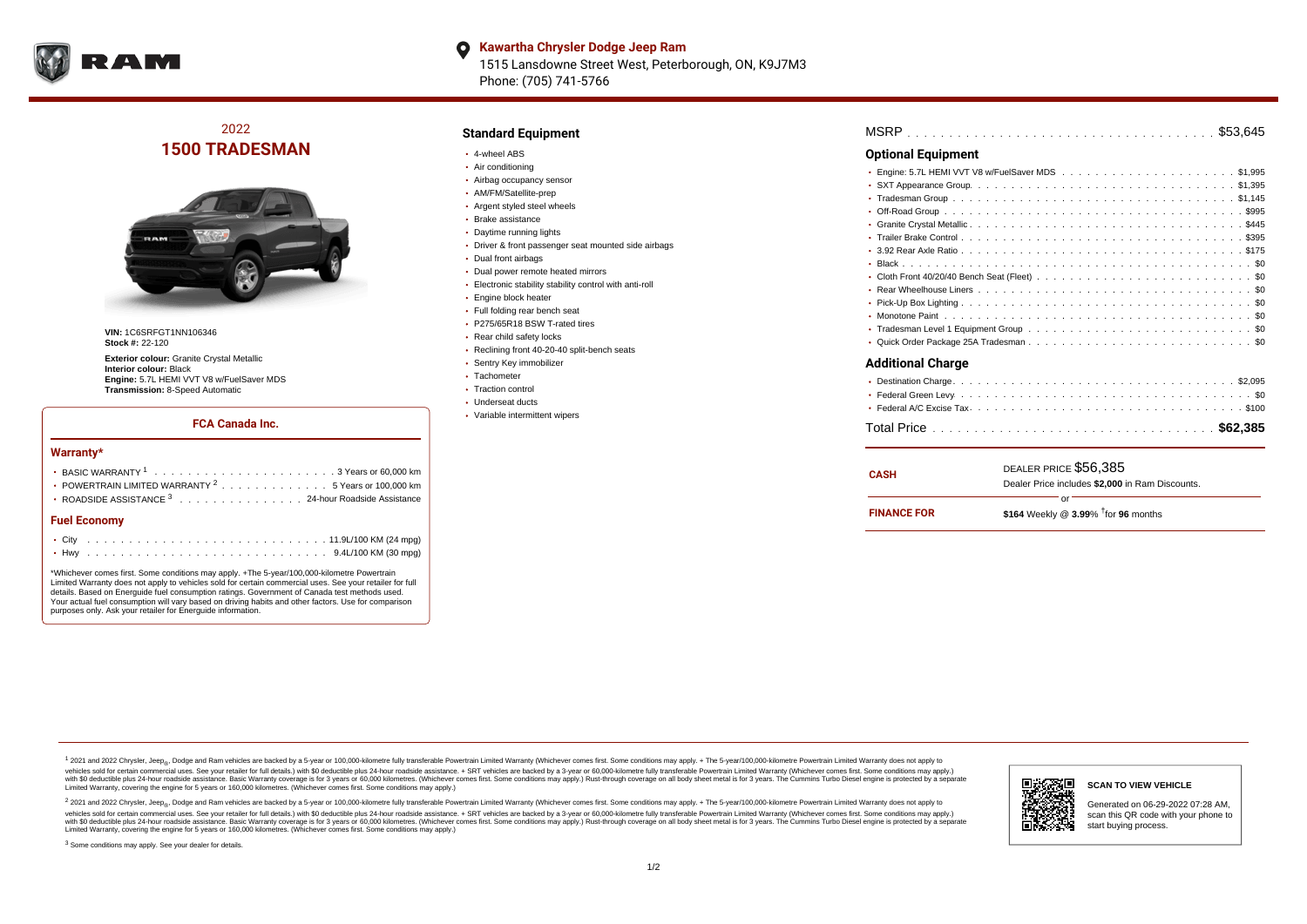

**Kawartha Chrysler Dodge Jeep Ram**  $\bullet$ 1515 Lansdowne Street West, Peterborough, ON, K9J7M3 Phone: (705) 741-5766

2022 **1500 TRADESMAN**



**VIN:** 1C6SRFGT1NN106346 **Stock #:** 22-120

**Exterior colour:** Granite Crystal Metallic **Interior colour:** Black **Engine:** 5.7L HEMI VVT V8 w/FuelSaver MDS **Transmission:** 8-Speed Automatic

#### **FCA Canada Inc.**

#### **Warranty\***

| <b>Fuel Economy</b>                                              |
|------------------------------------------------------------------|
| ROADSIDE ASSISTANCE 3 24-hour Roadside Assistance                |
| • POWERTRAIN LIMITED WARRANTY <sup>2</sup> 5 Years or 100,000 km |
|                                                                  |

\*Whichever comes first. Some conditions may apply. +The 5-year/100,000-kilometre Powertrain Limited Warranty does not apply to vehicles sold for certain commercial uses. See your retailer for full details. Based on Energuide fuel consumption ratings. Government of Canada test methods used. Your actual fuel consumption will vary based on driving habits and other factors. Use for comparison purposes only. Ask your retailer for Energuide information.

## **Standard Equipment**

- 4-wheel ABS
- Air conditioning
- Airbag occupancy sensor
- AM/FM/Satellite-prep
- Argent styled steel wheels
- Brake assistance
- Daytime running lights
- Driver & front passenger seat mounted side airbags
- Dual front airbags
- Dual power remote heated mirrors
- Electronic stability stability control with anti-roll
- Engine block heater
- Full folding rear bench seat
- P275/65R18 BSW T-rated tires
- Rear child safety locks
- Reclining front 40-20-40 split-bench seats
- Sentry Key immobilizer
- Tachometer
- Traction control
- Underseat ducts
- Variable intermittent wipers

| <b>Optional Equipment</b> |
|---------------------------|
|                           |
|                           |
| ٠                         |
| ٠                         |
| ٠                         |
|                           |
|                           |
|                           |
|                           |
|                           |
|                           |
|                           |
| $\bullet$                 |
|                           |
| <b>Additional Charge</b>  |
| $\bullet$                 |
|                           |
|                           |
|                           |

| <b>CASH</b>        | DEALER PRICE \$56,385                              |  |  |  |  |  |  |  |  |
|--------------------|----------------------------------------------------|--|--|--|--|--|--|--|--|
|                    | Dealer Price includes \$2,000 in Ram Discounts.    |  |  |  |  |  |  |  |  |
|                    | or                                                 |  |  |  |  |  |  |  |  |
| <b>FINANCE FOR</b> | \$164 Weekly @ $3.99\%$ <sup>†</sup> for 96 months |  |  |  |  |  |  |  |  |

<sup>1</sup> 2021 and 2022 Chrysler, Jeep<sub>®</sub>, Dodge and Ram vehicles are backed by a 5-year or 100,000-kilometre fully transferable Powertrain Limited Warranty (Whichever comes first. Some conditions may apply. + The 5-year/100,000 vehicles sold for certain commercial uses. See your retailer for full details.) with \$0 deductible plus 24 hour roadside assistance. + SRT vehicles are backed by a 3-year or 60,000-kilometre fully transferable Powertrain L versus and contract the mean of the contract of the contract with a contract with a contract the contract of the contract of the contract the contract of the contract of the contract of the contract of the contract of the Limited Warranty, covering the engine for 5 years or 160,000 kilometres. (Whichever comes first. Some conditions may apply.)

2 2021 and 2022 Chrysler, Jeep<sub>®</sub>, Dodge and Ram vehicles are backed by a 5-year or 100,000-kilometre fully transferable Powertrain Limited Warranty (Whichever comes first. Some conditions may apply. + The 5-year/100,000-k vehicles sold for certain commercial uses. See your retailer for full details.) with SO deductible plus 24-hour roadside assistance. + SRT vehicles are backed by a 3-year or 60.000-kilometre fully transferable Powertrain. with S0 deductible plus 24-hour roadside assistance. Basic Warranty coverage is for 3 years or 60,000 kilometres. (Whichever comes first. Some conditions may apply.) Rust-through coverage on all body sheet metal is for 3 y



## **SCAN TO VIEW VEHICLE**

Generated on 06-29-2022 07:28 AM, scan this QR code with your phone to start buying process.

<sup>3</sup> Some conditions may apply. See your dealer for details.